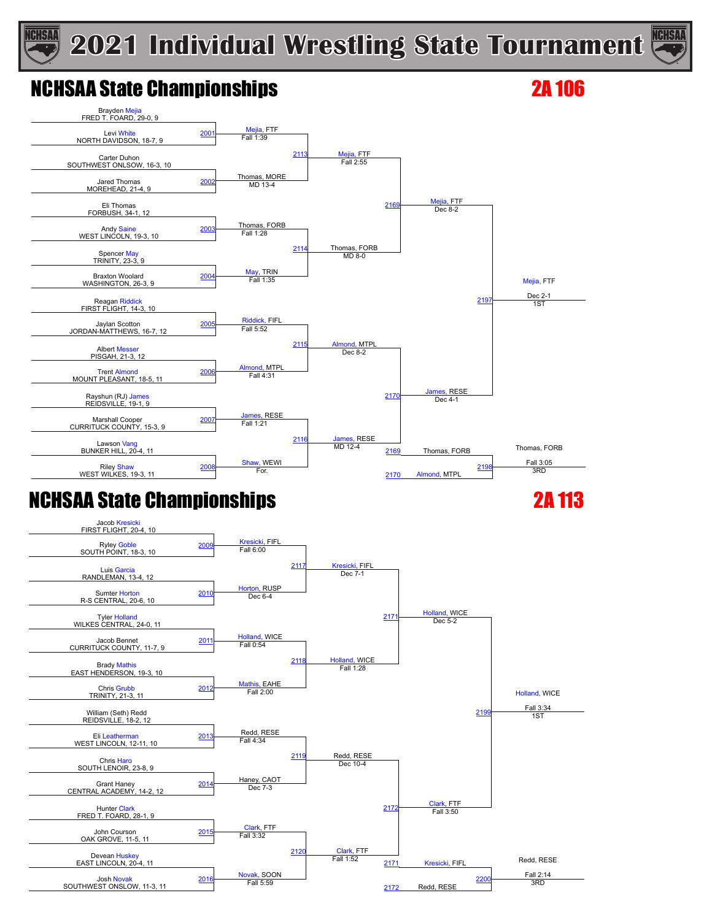# **ICHSAA**

## **2021 Individual Wrestling State Tournament**



## NCHSAA State Championships 2A 106



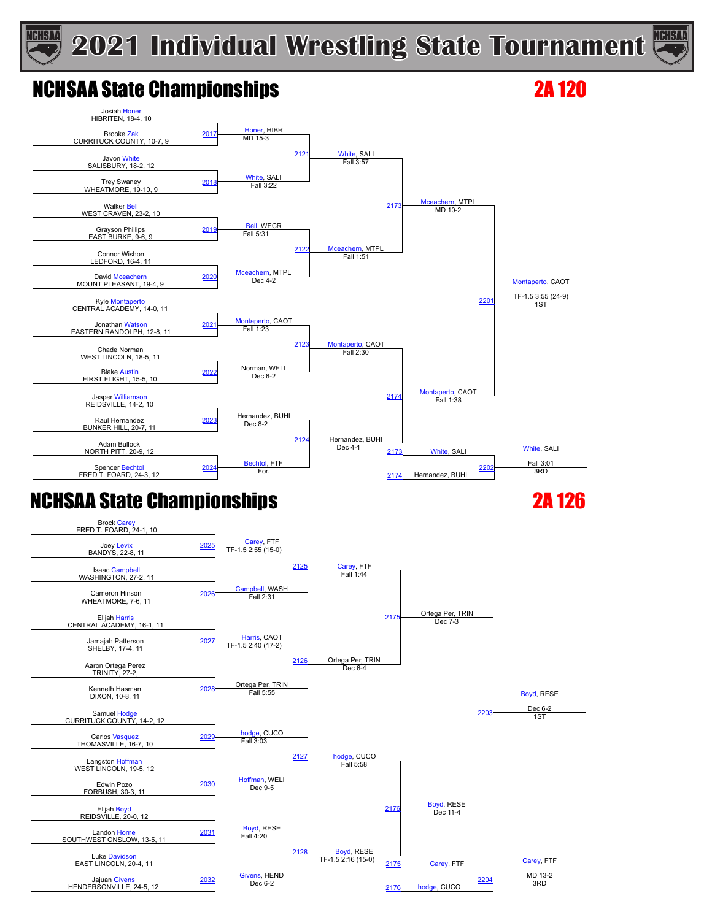## **2021 Individual Wrestling State Tournament**



## NCHSAA State Championships 2A 120

**CHSAA** 



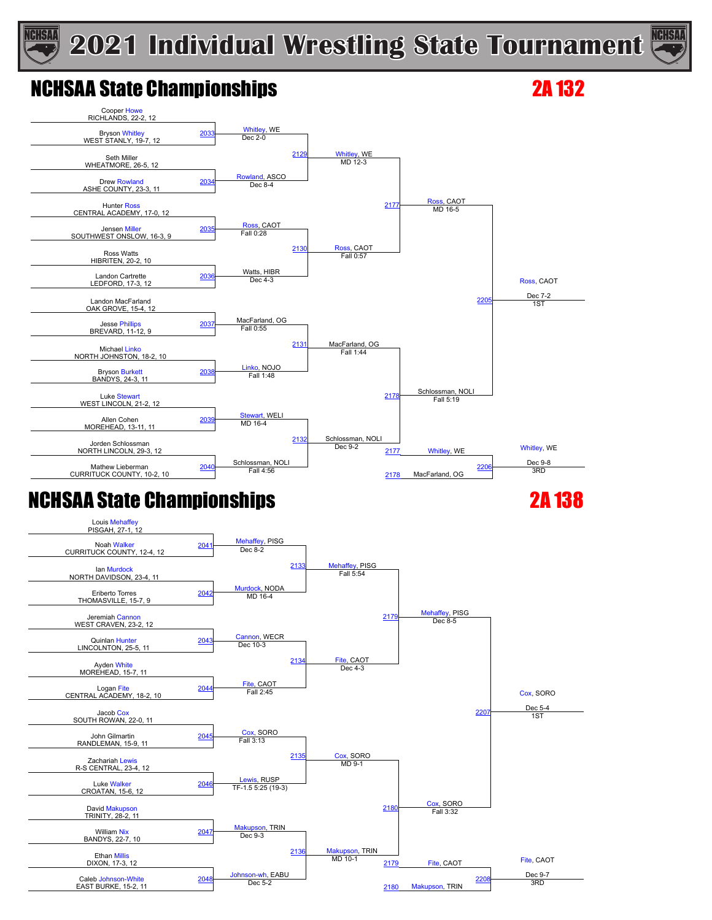



### NCHSAA State Championships 2A 132





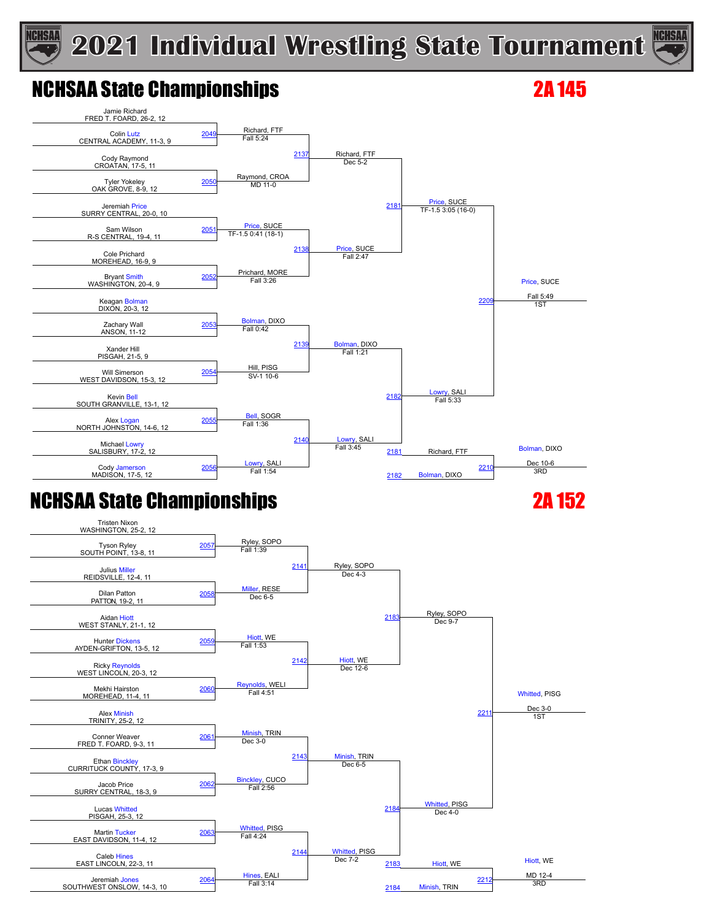## **2021 Individual Wrestling State Tournament**



### NCHSAA State Championships 2A 145

**ICHSAA** 



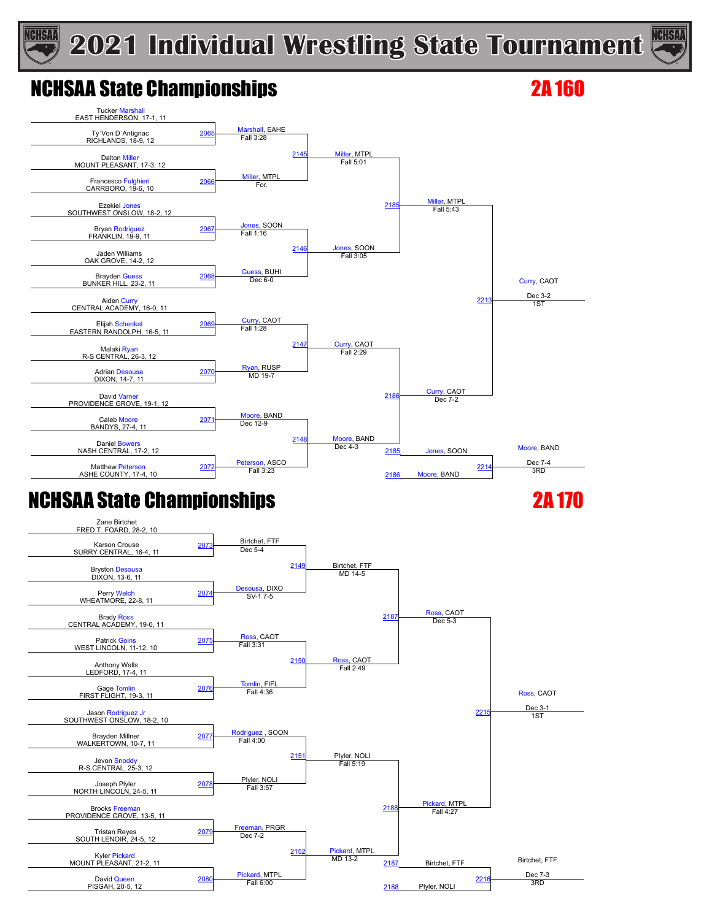#### **ICHSAA 2021 Individual Wrestling State Tournament**



## NCHSAA State Championships 2A 160





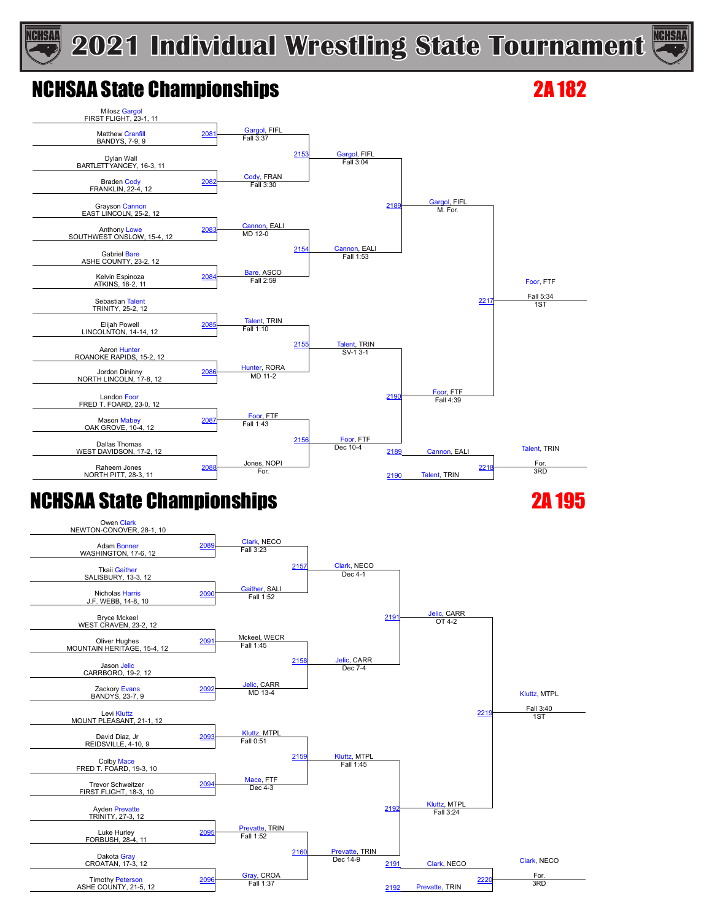## **2021 Individual Wrestling State Tournament**



### NCHSAA State Championships 2A 182

**ICHSAA**